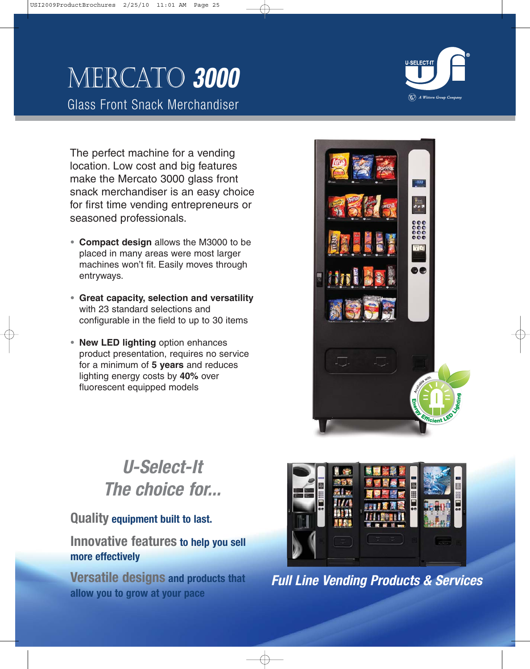# Mercato **3000**

Glass Front Snack Merchandiser

 $\left(\bigtimes\right)$  A Wittern Group Company

The perfect machine for a vending location. Low cost and big features make the Mercato 3000 glass front snack merchandiser is an easy choice for first time vending entrepreneurs or seasoned professionals.

- **• Compact design** allows the M3000 to be placed in many areas were most larger machines won't fit. Easily moves through entryways.
- **• Great capacity, selection and versatility** with 23 standard selections and configurable in the field to up to 30 items
- **• New LED lighting** option enhances product presentation, requires no service for a minimum of **5 years** and reduces lighting energy costs by **40%** over fluorescent equipped models



# **U-Select-It The choice for...**

# **Quality equipment built to last.**

# **Innovative features to help you sell more effectively**

**Versatile designs and products that allow you to grow at your pace**



**Full Line Vending Products & Services**